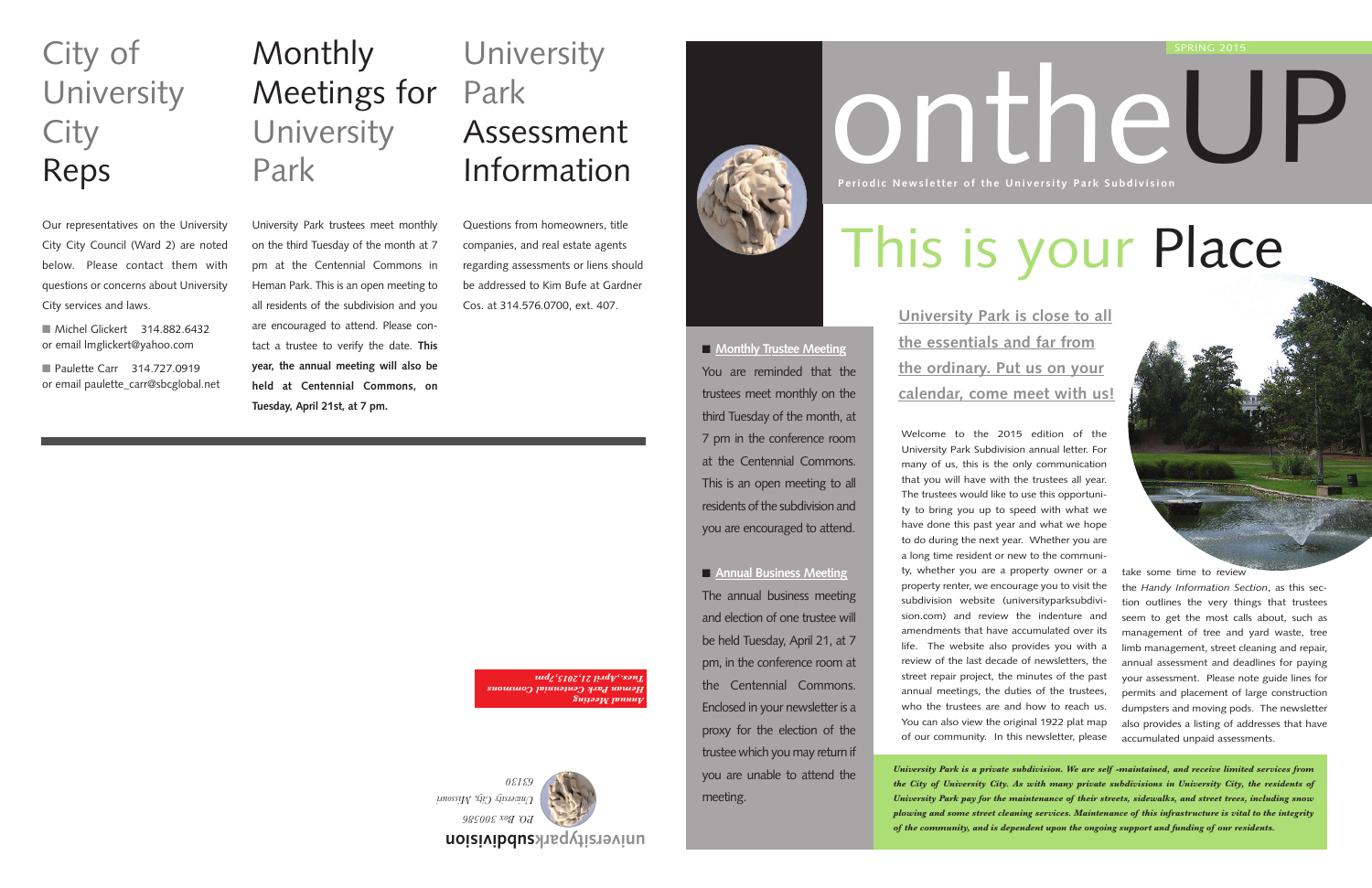Welcome to the 2015 edition of the University Park Subdivision annual letter. For many of us, this is the only communication that you will have with the trustees all year. The trustees would like to use this opportunity to bring you up to speed with what we have done this past year and what we hope to do during the next year. Whether you are a long time resident or new to the community, whether you are a property owner or a property renter, we encourage you to visit the subdivision website (universityparksubdivision.com) and review the indenture and amendments that have accumulated over its life. The website also provides you with a review of the last decade of newsletters, the street repair project, the minutes of the past annual meetings, the duties of the trustees, who the trustees are and how to reach us. You can also view the original 1922 plat map of our community. In this newsletter, please

# ontheUP **Periodic Newsletter of the University Park Subdivision**

### **Monthly** Meetings for **University** Park

*University Park is a private subdivision. We are self -maintained, and receive limited services from the City of University City. As with many private subdivisions in University City, the residents of University Park pay for the maintenance of their streets, sidewalks, and street trees, including snow plowing and some street cleaning services. Maintenance of this infrastructure is vital to the integrity of the community, and is dependent upon the ongoing support and funding of our residents.*

■ Michel Glickert 314.882.6432 or email lmglickert@yahoo.com

■ Paulette Carr 314.727.0919 or email paulette\_carr@sbcglobal.net

take some time to review

### **University** Park Assessment Information

the *Handy Information Section*, as this section outlines the very things that trustees seem to get the most calls about, such as management of tree and yard waste, tree limb management, street cleaning and repair, annual assessment and deadlines for paying your assessment. Please note guide lines for permits and placement of large construction dumpsters and moving pods. The newsletter also provides a listing of addresses that have accumulated unpaid assessments.

■ **Monthly Trustee Meeting** You are reminded that the trustees meet monthly on the third Tuesday of the month, at 7 pm in the conference room at the Centennial Commons. This is an open meeting to all residents of the subdivision and you are encouraged to attend.

#### SPRING 2015

**University Park is close to all the essentials and far from the ordinary. Put us on your calendar, come meet with us!**

**subdivision universitypark**



*University City, Missouri* 

University Park trustees meet monthly on the third Tuesday of the month at 7 pm at the Centennial Commons in Heman Park. This is an open meeting to all residents of the subdivision and you are encouraged to attend. Please contact a trustee to verify the date. **This year, the annual meeting will also be held at Centennial Commons, on**

**Tuesday, April 21st, at 7 pm.**

## City of **University City** Reps

Our representatives on the University City City Council (Ward 2) are noted below. Please contact them with questions or concerns about University City services and laws.

Questions from homeowners, title companies, and real estate agents regarding assessments or liens should be addressed to Kim Bufe at Gardner Cos. at 314.576.0700, ext. 407.



■ **Annual Business Meeting** The annual business meeting and election of one trustee will be held Tuesday, April 21, at 7 pm, in the conference room at the Centennial Commons. Enclosed in your newsletter is a proxy for the election of the trustee which you may return if you are unable to attend the meeting.

*Annual Meeting Heman Park Centennial Commons Tues.,April 21,2015,7pm*

This is your Place